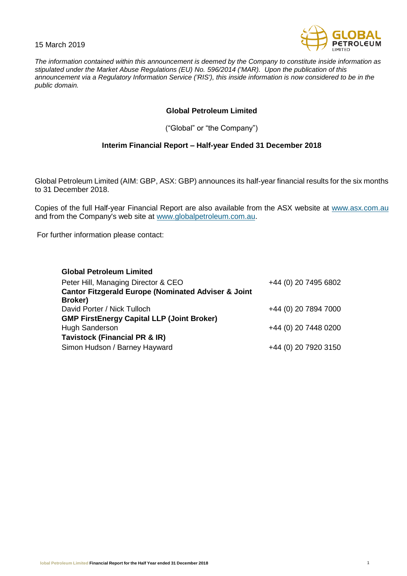15 March 2019



*The information contained within this announcement is deemed by the Company to constitute inside information as stipulated under the Market Abuse Regulations (EU) No. 596/2014 ('MAR). Upon the publication of this announcement via a Regulatory Information Service ('RIS'), this inside information is now considered to be in the public domain.*

## **Global Petroleum Limited**

("Global" or "the Company")

## **Interim Financial Report – Half-year Ended 31 December 2018**

Global Petroleum Limited (AIM: GBP, ASX: GBP) announces its half-year financial results for the six months to 31 December 2018.

Copies of the full Half-year Financial Report are also available from the ASX website at [www.asx.com.](http://www.asx.com/)au and from the Company's web site at [www.globalpetroleum.com.au.](http://www.globalpetroleum.com.au/)

For further information please contact:

| <b>Global Petroleum Limited</b>                                |                      |
|----------------------------------------------------------------|----------------------|
| Peter Hill, Managing Director & CEO                            | +44 (0) 20 7495 6802 |
| <b>Cantor Fitzgerald Europe (Nominated Adviser &amp; Joint</b> |                      |
| Broker)                                                        |                      |
| David Porter / Nick Tulloch                                    | +44 (0) 20 7894 7000 |
| <b>GMP FirstEnergy Capital LLP (Joint Broker)</b>              |                      |
| <b>Hugh Sanderson</b>                                          | +44 (0) 20 7448 0200 |
| <b>Tavistock (Financial PR &amp; IR)</b>                       |                      |
| Simon Hudson / Barney Hayward                                  | +44 (0) 20 7920 3150 |
|                                                                |                      |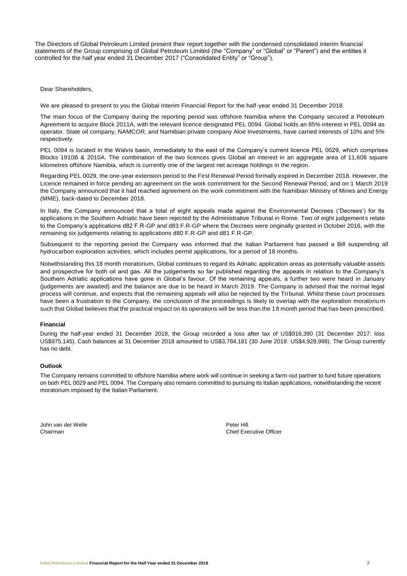The Directors of Global Petroleum Limited present their report together with the condensed consolidated interim financial statements of the Group comprising of Global Petroleum Limited (the "Company" or "Global" or "Parent") and the entities it controlled for the half year ended 31 December 2017 ("Consolidated Entity" or "Group").

Dear Shareholders,

We are pleased to present to you the Global Interim Financial Report for the half-year ended 31 December 2018.

The main focus of the Company during the reporting period was offshore Namibia where the Company secured a Petroleum Agreement to acquire Block 2011A, with the relevant licence designated PEL 0094. Global holds an 85% interest in PEL 0094 as operator. State oil company, NAMCOR, and Namibian private company Aloe Investments, have carried interests of 10% and 5% respectively.

PEL 0094 is located in the Walvis basin, immediately to the east of the Company's current licence PEL 0029, which comprises Blocks 1910B & 2010A. The combination of the two licences gives Global an interest in an aggregate area of 11,608 square kilometres offshore Namibia, which is currently one of the largest net acreage holdings in the region.

Regarding PEL 0029, the one-year extension period to the First Renewal Period formally expired in December 2018. However, the Licence remained in force pending an agreement on the work commitment for the Second Renewal Period, and on 1 March 2019 the Company announced that it had reached agreement on the work commitment with the Namibian Ministry of Mines and Energy (MME), back-dated to December 2018.

In Italy, the Company announced that a total of eight appeals made against the Environmental Decrees ('Decrees') for its applications in the Southern Adriatic have been rejected by the Administrative Tribunal in Rome. Two of eight judgement s relate to the Company's applications d82 F.R-GP and d83 F.R-GP where the Decrees were originally granted in October 2016, with the remaining six judgements relating to applications d80 F.R-GP and d81 F.R-GP.

Subsequent to the reporting period the Company was informed that the Italian Parliament has passed a Bill suspending all hydrocarbon exploration activities, which includes permit applications, for a period of 18 months.

Notwithstanding this 18 month moratorium, Global continues to regard its Adriatic application areas as potentially valuable assets and prospective for both oil and gas. All the judgements so far published regarding the appeals in relation to the Company's Southern Adriatic applications have gone in Global's favour. Of the remaining appeals, a further two were heard in January (judgements are awaited) and the balance are due to be heard in March 2019. The Company is advised that the normal legal process will continue, and expects that the remaining appeals will also be rejected by the Tribunal. Whilst these court processes have been a frustration to the Company, the conclusion of the proceedings is likely to overlap with the exploration moratoriu m such that Global believes that the practical impact on its operations will be less than the 18 month period that has been prescribed.

## **Financial**

During the half-year ended 31 December 2018, the Group recorded a loss after tax of US\$916,390 (31 December 2017: loss US\$975,145). Cash balances at 31 December 2018 amounted to US\$3,784,181 (30 June 2018: US\$4,928,998). The Group currently has no debt.

## **Outlook**

The Company remains committed to offshore Namibia where work will continue in seeking a farm-out partner to fund future operations on both PEL 0029 and PEL 0094. The Company also remains committed to pursuing its Italian applications, notwithstanding the recent moratorium imposed by the Italian Parliament.

John van der Welle Peter Hill

**Chairman** Chairman Chairman Chief Executive Officer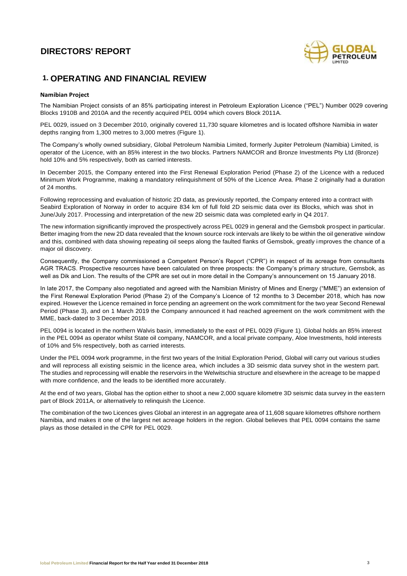

# **1. OPERATING AND FINANCIAL REVIEW**

## **Namibian Project**

The Namibian Project consists of an 85% participating interest in Petroleum Exploration Licence ("PEL") Number 0029 covering Blocks 1910B and 2010A and the recently acquired PEL 0094 which covers Block 2011A.

PEL 0029, issued on 3 December 2010, originally covered 11,730 square kilometres and is located offshore Namibia in water depths ranging from 1,300 metres to 3,000 metres (Figure 1).

The Company's wholly owned subsidiary, Global Petroleum Namibia Limited, formerly Jupiter Petroleum (Namibia) Limited, is operator of the Licence, with an 85% interest in the two blocks. Partners NAMCOR and Bronze Investments Pty Ltd (Bronze) hold 10% and 5% respectively, both as carried interests.

In December 2015, the Company entered into the First Renewal Exploration Period (Phase 2) of the Licence with a reduced Minimum Work Programme, making a mandatory relinquishment of 50% of the Licence Area. Phase 2 originally had a duration of 24 months.

Following reprocessing and evaluation of historic 2D data, as previously reported, the Company entered into a contract with Seabird Exploration of Norway in order to acquire 834 km of full fold 2D seismic data over its Blocks, which was shot in June/July 2017. Processing and interpretation of the new 2D seismic data was completed early in Q4 2017.

The new information significantly improved the prospectively across PEL 0029 in general and the Gemsbok prospect in particular. Better imaging from the new 2D data revealed that the known source rock intervals are likely to be within the oil generative window and this, combined with data showing repeating oil seeps along the faulted flanks of Gemsbok, greatly improves the chance of a major oil discovery.

Consequently, the Company commissioned a Competent Person's Report ("CPR") in respect of its acreage from consultants AGR TRACS. Prospective resources have been calculated on three prospects: the Company's primary structure, Gemsbok, as well as Dik and Lion. The results of the CPR are set out in more detail in the Company's announcement on 15 January 2018.

In late 2017, the Company also negotiated and agreed with the Namibian Ministry of Mines and Energy ("MME") an extension of the First Renewal Exploration Period (Phase 2) of the Company's Licence of 12 months to 3 December 2018, which has now expired. However the Licence remained in force pending an agreement on the work commitment for the two year Second Renewal Period (Phase 3), and on 1 March 2019 the Company announced it had reached agreement on the work commitment with the MME, back-dated to 3 December 2018.

PEL 0094 is located in the northern Walvis basin, immediately to the east of PEL 0029 (Figure 1). Global holds an 85% interest in the PEL 0094 as operator whilst State oil company, NAMCOR, and a local private company, Aloe Investments, hold interests of 10% and 5% respectively, both as carried interests.

Under the PEL 0094 work programme, in the first two years of the Initial Exploration Period, Global will carry out various studies and will reprocess all existing seismic in the licence area, which includes a 3D seismic data survey shot in the western part. The studies and reprocessing will enable the reservoirs in the Welwitschia structure and elsewhere in the acreage to be mapped with more confidence, and the leads to be identified more accurately.

At the end of two years, Global has the option either to shoot a new 2,000 square kilometre 3D seismic data survey in the eas tern part of Block 2011A, or alternatively to relinquish the Licence.

The combination of the two Licences gives Global an interest in an aggregate area of 11,608 square kilometres offshore northern Namibia, and makes it one of the largest net acreage holders in the region. Global believes that PEL 0094 contains the same plays as those detailed in the CPR for PEL 0029.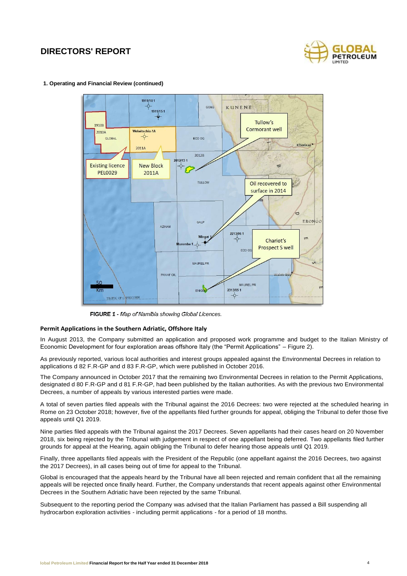

## **1. Operating and Financial Review (continued)**



**FIGURE 1 -** *Map of Namibia showing Global Licences.*

## **Permit Applications in the Southern Adriatic, Offshore Italy**

In August 2013, the Company submitted an application and proposed work programme and budget to the Italian Ministry of Economic Development for four exploration areas offshore Italy (the "Permit Applications" – Figure 2).

As previously reported, various local authorities and interest groups appealed against the Environmental Decrees in relation to applications d 82 F.R-GP and d 83 F.R-GP, which were published in October 2016.

The Company announced in October 2017 that the remaining two Environmental Decrees in relation to the Permit Applications, designated d 80 F.R-GP and d 81 F.R-GP, had been published by the Italian authorities. As with the previous two Environmental Decrees, a number of appeals by various interested parties were made.

A total of seven parties filed appeals with the Tribunal against the 2016 Decrees: two were rejected at the scheduled hearing in Rome on 23 October 2018; however, five of the appellants filed further grounds for appeal, obliging the Tribunal to defer those five appeals until Q1 2019.

Nine parties filed appeals with the Tribunal against the 2017 Decrees. Seven appellants had their cases heard on 20 November 2018, six being rejected by the Tribunal with judgement in respect of one appellant being deferred. Two appellants filed further grounds for appeal at the Hearing, again obliging the Tribunal to defer hearing those appeals until Q1 2019.

Finally, three appellants filed appeals with the President of the Republic (one appellant against the 2016 Decrees, two against the 2017 Decrees), in all cases being out of time for appeal to the Tribunal.

Global is encouraged that the appeals heard by the Tribunal have all been rejected and remain confident that all the remaining appeals will be rejected once finally heard. Further, the Company understands that recent appeals against other Environmental Decrees in the Southern Adriatic have been rejected by the same Tribunal.

Subsequent to the reporting period the Company was advised that the Italian Parliament has passed a Bill suspending all hydrocarbon exploration activities - including permit applications - for a period of 18 months.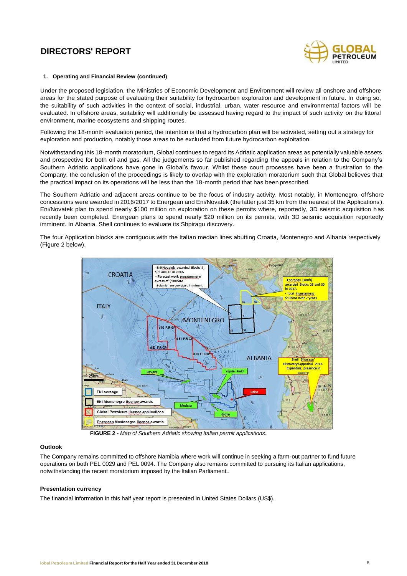

## **1. Operating and Financial Review (continued)**

Under the proposed legislation, the Ministries of Economic Development and Environment will review all onshore and offshore areas for the stated purpose of evaluating their suitability for hydrocarbon exploration and development in future. In doing so, the suitability of such activities in the context of social, industrial, urban, water resource and environmental factors will be evaluated. In offshore areas, suitability will additionally be assessed having regard to the impact of such activity on the littoral environment, marine ecosystems and shipping routes.

Following the 18-month evaluation period, the intention is that a hydrocarbon plan will be activated, setting out a strategy for exploration and production, notably those areas to be excluded from future hydrocarbon exploitation.

Notwithstanding this 18-month moratorium, Global continues to regard its Adriatic application areas as potentially valuable assets and prospective for both oil and gas. All the judgements so far published regarding the appeals in relation to the Company's Southern Adriatic applications have gone in Global's favour. Whilst these court processes have been a frustration to the Company, the conclusion of the proceedings is likely to overlap with the exploration moratorium such that Global believes that the practical impact on its operations will be less than the 18-month period that has been prescribed.

The Southern Adriatic and adjacent areas continue to be the focus of industry activity. Most notably, in Montenegro, of fshore concessions were awarded in 2016/2017 to Energean and Eni/Novatek (the latter just 35 km from the nearest of the Applications). Eni/Novatek plan to spend nearly \$100 million on exploration on these permits where, reportedly, 3D seismic acquisition has recently been completed. Energean plans to spend nearly \$20 million on its permits, with 3D seismic acquisition reportedly imminent. In Albania, Shell continues to evaluate its Shpiragu discovery.

The four Application blocks are contiguous with the Italian median lines abutting Croatia, Montenegro and Albania respectively (Figure 2 below).



**FIGURE 2 -** *Map of Southern Adriatic showing Italian permit applications.*

## **Outlook**

The Company remains committed to offshore Namibia where work will continue in seeking a farm-out partner to fund future operations on both PEL 0029 and PEL 0094. The Company also remains committed to pursuing its Italian applications, notwithstanding the recent moratorium imposed by the Italian Parliament..

### **Presentation currency**

The financial information in this half year report is presented in United States Dollars (US\$).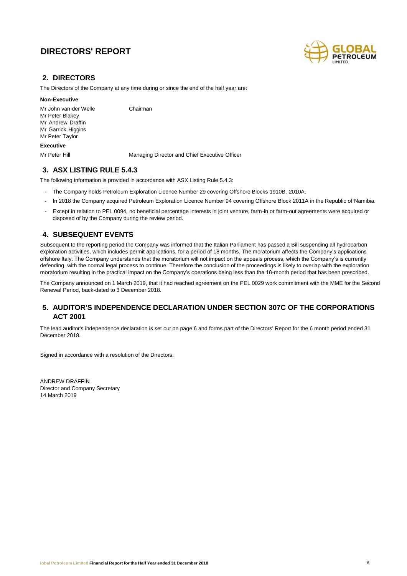

## **2. DIRECTORS**

The Directors of the Company at any time during or since the end of the half year are:

## **Non-Executive**

Mr John van der Welle Chairman Mr Peter Blakey Mr Andrew Draffin Mr Garrick Higgins Mr Peter Taylor

## **Executive**

Mr Peter Hill Managing Director and Chief Executive Officer

## **3. ASX LISTING RULE 5.4.3**

The following information is provided in accordance with ASX Listing Rule 5.4.3:

- The Company holds Petroleum Exploration Licence Number 29 covering Offshore Blocks 1910B, 2010A.
- In 2018 the Company acquired Petroleum Exploration Licence Number 94 covering Offshore Block 2011A in the Republic of Namibia.
- Except in relation to PEL 0094, no beneficial percentage interests in joint venture, farm-in or farm-out agreements were acquired or disposed of by the Company during the review period.

## **4. SUBSEQUENT EVENTS**

Subsequent to the reporting period the Company was informed that the Italian Parliament has passed a Bill suspending all hydrocarbon exploration activities, which includes permit applications, for a period of 18 months. The moratorium affects the Company's applications offshore Italy. The Company understands that the moratorium will not impact on the appeals process, which the Company's is currently defending, with the normal legal process to continue. Therefore the conclusion of the proceedings is likely to overlap with the exploration moratorium resulting in the practical impact on the Company's operations being less than the 18-month period that has been prescribed.

The Company announced on 1 March 2019, that it had reached agreement on the PEL 0029 work commitment with the MME for the Second Renewal Period, back-dated to 3 December 2018.

## **5. AUDITOR'S INDEPENDENCE DECLARATION UNDER SECTION 307C OF THE CORPORATIONS ACT 2001**

The lead auditor's independence declaration is set out on page 6 and forms part of the Directors' Report for the 6 month period ended 31 December 2018.

Signed in accordance with a resolution of the Directors:

ANDREW DRAFFIN Director and Company Secretary 14 March 2019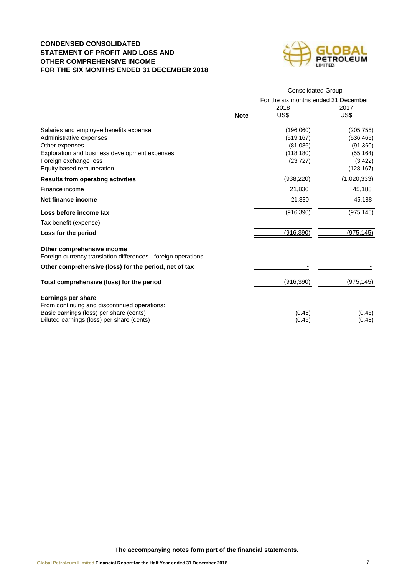## **CONDENSED CONSOLIDATED STATEMENT OF PROFIT AND LOSS AND OTHER COMPREHENSIVE INCOME FOR THE SIX MONTHS ENDED 31 DECEMBER 2018**



|                                                                                                                      |             | <b>Consolidated Group</b>            |             |  |  |
|----------------------------------------------------------------------------------------------------------------------|-------------|--------------------------------------|-------------|--|--|
|                                                                                                                      |             | For the six months ended 31 December |             |  |  |
|                                                                                                                      |             | 2018                                 | 2017        |  |  |
|                                                                                                                      | <b>Note</b> | US\$                                 | US\$        |  |  |
| Salaries and employee benefits expense                                                                               |             | (196,060)                            | (205, 755)  |  |  |
| Administrative expenses                                                                                              |             | (519, 167)                           | (536, 465)  |  |  |
| Other expenses                                                                                                       |             | (81,086)                             | (91, 360)   |  |  |
| Exploration and business development expenses                                                                        |             | (118, 180)                           | (55, 164)   |  |  |
| Foreign exchange loss                                                                                                |             | (23, 727)                            | (3, 422)    |  |  |
| Equity based remuneration                                                                                            |             |                                      | (128, 167)  |  |  |
| <b>Results from operating activities</b>                                                                             |             | (938, 220)                           | (1,020,333) |  |  |
| Finance income                                                                                                       |             | 21,830                               | 45,188      |  |  |
| Net finance income                                                                                                   |             | 21,830                               | 45,188      |  |  |
| Loss before income tax                                                                                               |             | (916, 390)                           | (975, 145)  |  |  |
| Tax benefit (expense)                                                                                                |             |                                      |             |  |  |
| Loss for the period                                                                                                  |             | (916, 390)                           | (975, 145)  |  |  |
| Other comprehensive income<br>Foreign currency translation differences - foreign operations                          |             |                                      |             |  |  |
| Other comprehensive (loss) for the period, net of tax                                                                |             |                                      |             |  |  |
| Total comprehensive (loss) for the period                                                                            |             | (916,390)                            | (975, 145)  |  |  |
| <b>Earnings per share</b><br>From continuing and discontinued operations:<br>Basic earnings (loss) per share (cents) |             | (0.45)                               | (0.48)      |  |  |
| Diluted earnings (loss) per share (cents)                                                                            |             | (0.45)                               | (0.48)      |  |  |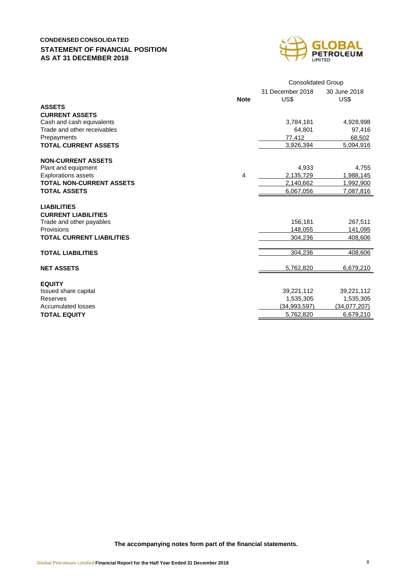## **CONDENSED CONSOLIDATED STATEMENT OF FINANCIAL POSITION AS AT 31 DECEMBER 2018**



|                                            |             | <b>Consolidated Group</b> |                      |  |  |
|--------------------------------------------|-------------|---------------------------|----------------------|--|--|
|                                            | <b>Note</b> | 31 December 2018<br>US\$  | 30 June 2018<br>US\$ |  |  |
| <b>ASSETS</b>                              |             |                           |                      |  |  |
| <b>CURRENT ASSETS</b>                      |             |                           |                      |  |  |
| Cash and cash equivalents                  |             | 3,784,181                 | 4,928,998            |  |  |
| Trade and other receivables<br>Prepayments |             | 64,801<br>77,412          | 97,416<br>68,502     |  |  |
| <b>TOTAL CURRENT ASSETS</b>                |             | 3,926,394                 | 5,094,916            |  |  |
|                                            |             |                           |                      |  |  |
| <b>NON-CURRENT ASSETS</b>                  |             |                           |                      |  |  |
| Plant and equipment                        |             | 4.933                     | 4,755                |  |  |
| <b>Explorations assets</b>                 | 4           | 2.135.729                 | 1,988,145            |  |  |
| <b>TOTAL NON-CURRENT ASSETS</b>            |             | 2,140,662                 | 1,992,900            |  |  |
| <b>TOTAL ASSETS</b>                        |             | 6,067,056                 | 7,087,816            |  |  |
| <b>LIABILITIES</b>                         |             |                           |                      |  |  |
| <b>CURRENT LIABILITIES</b>                 |             |                           |                      |  |  |
| Trade and other payables                   |             | 156,181                   | 267,511              |  |  |
| Provisions                                 |             | 148,055                   | 141,095              |  |  |
| <b>TOTAL CURRENT LIABILITIES</b>           |             | 304,236                   | 408,606              |  |  |
|                                            |             |                           |                      |  |  |
| <b>TOTAL LIABILITIES</b>                   |             | 304,236                   | 408,606              |  |  |
| <b>NET ASSETS</b>                          |             | 5,762,820                 | 6,679,210            |  |  |
|                                            |             |                           |                      |  |  |
| <b>EQUITY</b><br>Issued share capital      |             | 39,221,112                | 39,221,112           |  |  |
| Reserves                                   |             | 1,535,305                 | 1,535,305            |  |  |
| <b>Accumulated losses</b>                  |             | (34,993,597)              | (34,077,207)         |  |  |
| <b>TOTAL EQUITY</b>                        |             | 5,762,820                 | 6,679,210            |  |  |
|                                            |             |                           |                      |  |  |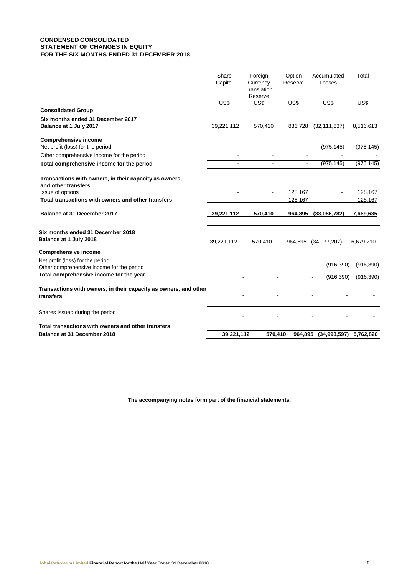## **CONDENSED CONSOLIDATED STATEMENT OF CHANGES IN EQUITY FOR THE SIX MONTHS ENDED 31 DECEMBER 2018**

|                                                                                                                          | Share<br>Capital | Foreign<br>Currency<br>Translation<br>Reserve | Option<br>Reserve | Accumulated<br>Losses | Total      |
|--------------------------------------------------------------------------------------------------------------------------|------------------|-----------------------------------------------|-------------------|-----------------------|------------|
|                                                                                                                          | US\$             | US\$                                          | US\$              | US\$                  | US\$       |
| <b>Consolidated Group</b>                                                                                                |                  |                                               |                   |                       |            |
| Six months ended 31 December 2017<br>Balance at 1 July 2017                                                              | 39,221,112       | 570,410                                       | 836,728           | (32, 111, 637)        | 8,516,613  |
| <b>Comprehensive income</b><br>Net profit (loss) for the period                                                          |                  |                                               |                   | (975, 145)            | (975, 145) |
| Other comprehensive income for the period                                                                                |                  |                                               |                   |                       |            |
| Total comprehensive income for the period                                                                                |                  |                                               | $\blacksquare$    | (975, 145)            | (975, 145) |
| Transactions with owners, in their capacity as owners,<br>and other transfers                                            |                  |                                               |                   |                       |            |
| Issue of options                                                                                                         |                  |                                               | 128,167           |                       | 128,167    |
| Total transactions with owners and other transfers                                                                       |                  |                                               | 128,167           |                       | 128,167    |
| <b>Balance at 31 December 2017</b>                                                                                       | 39,221,112       | 570,410                                       | 964,895           | (33,086,782)          | 7,669,635  |
| Six months ended 31 December 2018<br>Balance at 1 July 2018                                                              | 39,221,112       | 570,410                                       |                   | 964,895 (34,077,207)  | 6,679,210  |
| <b>Comprehensive income</b>                                                                                              |                  |                                               |                   |                       |            |
| Net profit (loss) for the period<br>Other comprehensive income for the period<br>Total comprehensive income for the year |                  |                                               |                   | (916, 390)            | (916, 390) |
|                                                                                                                          |                  |                                               |                   | (916, 390)            | (916, 390) |
| Transactions with owners, in their capacity as owners, and other<br>transfers                                            |                  |                                               |                   |                       |            |
| Shares issued during the period                                                                                          |                  |                                               |                   |                       |            |
| Total transactions with owners and other transfers                                                                       |                  |                                               |                   |                       |            |
| <b>Balance at 31 December 2018</b>                                                                                       | 39,221,112       | 570,410                                       | 964,895           | (34,993,597)          | 5,762,820  |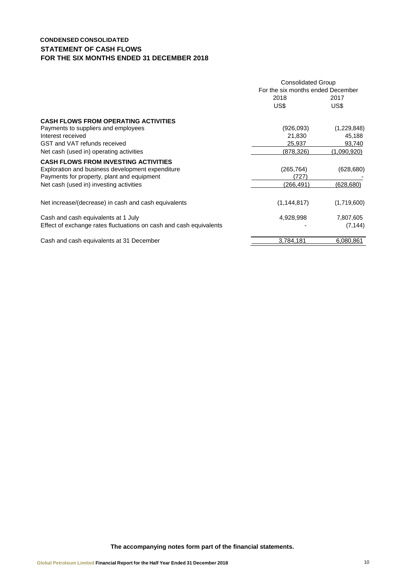## **CONDENSED CONSOLIDATED STATEMENT OF CASH FLOWS FOR THE SIX MONTHS ENDED 31 DECEMBER 2018**

|                                                                    | <b>Consolidated Group</b><br>For the six months ended December |              |  |
|--------------------------------------------------------------------|----------------------------------------------------------------|--------------|--|
|                                                                    | 2018<br>US\$                                                   | 2017<br>US\$ |  |
| <b>CASH FLOWS FROM OPERATING ACTIVITIES</b>                        |                                                                |              |  |
| Payments to suppliers and employees                                | (926,093)                                                      | (1,229,848)  |  |
| Interest received                                                  | 21,830                                                         | 45,188       |  |
| GST and VAT refunds received                                       | 25,937                                                         | 93,740       |  |
| Net cash (used in) operating activities                            | (878,326)                                                      | (1,090,920)  |  |
| <b>CASH FLOWS FROM INVESTING ACTIVITIES</b>                        |                                                                |              |  |
| Exploration and business development expenditure                   | (265, 764)                                                     | (628, 680)   |  |
| Payments for property, plant and equipment                         | (727)                                                          |              |  |
| Net cash (used in) investing activities                            | (266, 491)                                                     | (628, 680)   |  |
| Net increase/(decrease) in cash and cash equivalents               | (1, 144, 817)                                                  | (1,719,600)  |  |
| Cash and cash equivalents at 1 July                                | 4,928,998                                                      | 7,807,605    |  |
| Effect of exchange rates fluctuations on cash and cash equivalents |                                                                | (7, 144)     |  |
| Cash and cash equivalents at 31 December                           | 3,784,181                                                      | 6,080,861    |  |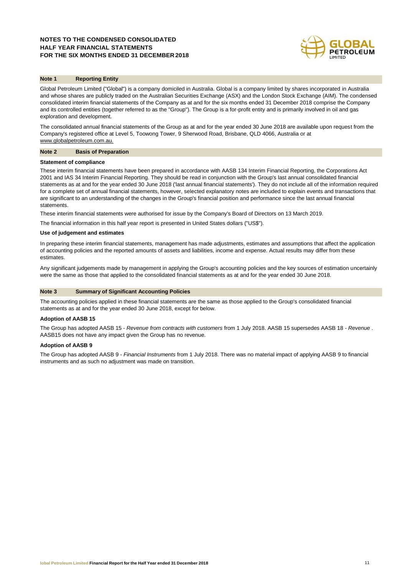## **NOTES TO THE CONDENSED CONSOLIDATED HALF YEAR FINANCIAL STATEMENTS FOR THE SIX MONTHS ENDED 31 DECEMBER 2018**



## **Note 1 Reporting Entity**

Global Petroleum Limited ("Global") is a company domiciled in Australia. Global is a company limited by shares incorporated in Australia and whose shares are publicly traded on the Australian Securities Exchange (ASX) and the London Stock Exchange (AIM). The condensed consolidated interim financial statements of the Company as at and for the six months ended 31 December 2018 comprise the Company and its controlled entities (together referred to as the "Group"). The Group is a for-profit entity and is primarily involved in oil and gas exploration and development.

The consolidated annual financial statements of the Group as at and for the year ended 30 June 2018 are available upon request from the Company's registered office at Level 5, Toowong Tower, 9 Sherwood Road, Brisbane, QLD 4066, Australia or at [www.globalpetroleum.com.au.](http://www.globalpetroleum.com.au/)

#### **Note 2 Basis of Preparation**

#### **Statement of compliance**

These interim financial statements have been prepared in accordance with AASB 134 Interim Financial Reporting, the Corporations Act 2001 and IAS 34 Interim Financial Reporting. They should be read in conjunction with the Group's last annual consolidated financial statements as at and for the year ended 30 June 2018 ('last annual financial statements'). They do not include all of the information required for a complete set of annual financial statements, however, selected explanatory notes are included to explain events and transactions that are significant to an understanding of the changes in the Group's financial position and performance since the last annual financial statements.

These interim financial statements were authorised for issue by the Company's Board of Directors on 13 March 2019.

The financial information in this half year report is presented in United States dollars ("US\$").

#### **Use of judgement and estimates**

In preparing these interim financial statements, management has made adjustments, estimates and assumptions that affect the application of accounting policies and the reported amounts of assets and liabilities, income and expense. Actual results may differ from these estimates.

Any significant judgements made by management in applying the Group's accounting policies and the key sources of estimation uncertainly were the same as those that applied to the consolidated financial statements as at and for the year ended 30 June 2018.

### **Note 3 Summary of Significant Accounting Policies**

The accounting policies applied in these financial statements are the same as those applied to the Group's consolidated financial statements as at and for the year ended 30 June 2018, except for below.

#### **Adoption of AASB 15**

The Group has adopted AASB 15 - *Revenue from contracts with customers* from 1 July 2018. AASB 15 supersedes AASB 18 *- Revenue* . AASB15 does not have any impact given the Group has no revenue.

#### **Adoption of AASB 9**

The Group has adopted AASB 9 - *Financial Instruments* from 1 July 2018. There was no material impact of applying AASB 9 to financial instruments and as such no adjustment was made on transition.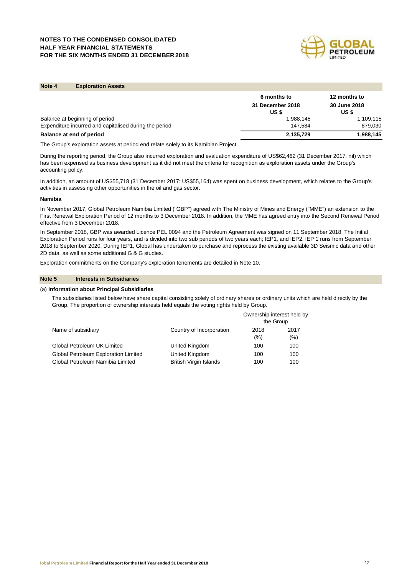## **NOTES TO THE CONDENSED CONSOLIDATED HALF YEAR FINANCIAL STATEMENTS FOR THE SIX MONTHS ENDED 31 DECEMBER 2018**



## **Note 4 Exploration Assets**

|                                                        | 6 months to               | 12 months to                 |
|--------------------------------------------------------|---------------------------|------------------------------|
|                                                        | 31 December 2018<br>US \$ | <b>30 June 2018</b><br>US \$ |
| Balance at beginning of period                         | 1,988,145                 | 1,109,115                    |
| Expenditure incurred and capitalised during the period | 147.584                   | 879,030                      |
| Balance at end of period                               | 2,135,729                 | 1,988,145                    |

The Group's exploration assets at period end relate solely to its Namibian Project.

During the reporting period, the Group also incurred exploration and evaluation expenditure of US\$62,462 (31 December 2017: nil) which has been expensed as business development as it did not meet the criteria for recognition as exploration assets under the Group's accounting policy.

In addition, an amount of US\$55,718 (31 December 2017: US\$55,164) was spent on business development, which relates to the Group's activities in assessing other opportunities in the oil and gas sector.

#### **Namibia**

In November 2017, Global Petroleum Namibia Limited ("GBP") agreed with The Ministry of Mines and Energy ("MME") an extension to the First Renewal Exploration Period of 12 months to 3 December 2018. In addition, the MME has agreed entry into the Second Renewal Period effective from 3 December 2018.

In September 2018, GBP was awarded Licence PEL 0094 and the Petroleum Agreement was signed on 11 September 2018. The Initial Exploration Period runs for four years, and is divided into two sub periods of two years each; IEP1, and IEP2. IEP 1 runs from September 2018 to September 2020. During IEP1, Global has undertaken to purchase and reprocess the existing available 3D Seismic data and other 2D data, as well as some additional G & G studies.

Exploration commitments on the Company's exploration tenements are detailed in Note 10.

## **Note 5 Interests in Subsidiaries**

#### (a) **Information about Principal Subsidiaries**

The subsidiaries listed below have share capital consisting solely of ordinary shares or ordinary units which are held directly by the Group. The proportion of ownership interests held equals the voting rights held by Group.

|                                      |                               | Ownership interest held by<br>the Group |      |  |
|--------------------------------------|-------------------------------|-----------------------------------------|------|--|
| Name of subsidiary                   | Country of Incorporation      | 2018                                    | 2017 |  |
|                                      |                               | $(\% )$                                 | (% ) |  |
| Global Petroleum UK Limited          | United Kingdom                | 100                                     | 100  |  |
| Global Petroleum Exploration Limited | United Kingdom                | 100                                     | 100  |  |
| Global Petroleum Namibia Limited     | <b>British Virgin Islands</b> | 100                                     | 100  |  |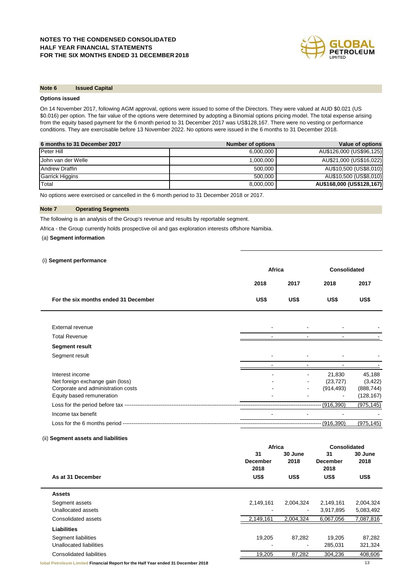

## **Note 6 Issued Capital**

## **Options issued**

On 14 November 2017, following AGM approval, options were issued to some of the Directors. They were valued at AUD \$0.021 (US \$0.016) per option. The fair value of the options were determined by adopting a Binomial options pricing model. The total expense arising from the equity based payment for the 6 month period to 31 December 2017 was US\$128,167. There were no vesting or performance conditions. They are exercisable before 13 November 2022. No options were issued in the 6 months to 31 December 2018.

| 6 months to 31 December 2017 | <b>Number of options</b> | Value of options          |
|------------------------------|--------------------------|---------------------------|
| Peter Hill                   | 6.000.000                | AU\$126,000 (US\$96,125)  |
| John van der Welle           | 1,000,000                | AU\$21,000 (US\$16,022)   |
| <b>Andrew Draffin</b>        | 500,000                  | AU\$10,500 (US\$8,010)    |
| <b>Garrick Higgins</b>       | 500.000                  | AU\$10,500 (US\$8,010)    |
| Total                        | 8,000,000                | AU\$168,000 (US\$128,167) |

No options were exercised or cancelled in the 6 month period to 31 December 2018 or 2017.

## **Note 7 Operating Segments**

The following is an analysis of the Group's revenue and results by reportable segment.

Africa - the Group currently holds prospective oil and gas exploration interests offshore Namibia.

## (a) **Segment information**

#### (i) **Segment performance**

|                                      |      | Africa |              | <b>Consolidated</b> |
|--------------------------------------|------|--------|--------------|---------------------|
|                                      | 2018 | 2017   | 2018         | 2017                |
| For the six months ended 31 December | US\$ | US\$   | US\$         | US\$                |
|                                      |      |        |              |                     |
| External revenue                     |      |        |              |                     |
| <b>Total Revenue</b>                 |      |        |              |                     |
| <b>Segment result</b>                |      |        |              |                     |
| Segment result                       |      |        |              |                     |
|                                      |      |        |              |                     |
| Interest income                      |      |        | 21,830       | 45,188              |
| Net foreign exchange gain (loss)     |      |        | (23, 727)    | (3, 422)            |
| Corporate and administration costs   |      |        | (914, 493)   | (888, 744)          |
| Equity based remuneration            |      |        |              | (128, 167)          |
|                                      |      |        | $-(916,390)$ | (975, 145)          |
| Income tax benefit                   |      |        |              |                     |
|                                      |      |        | -- (916,390) | (975, 145)          |

## (ii) **Segment assets and liabilities**

|                                                                                   | Africa                        |                 | Consolidated                  |                 |
|-----------------------------------------------------------------------------------|-------------------------------|-----------------|-------------------------------|-----------------|
|                                                                                   | 31<br><b>December</b><br>2018 | 30 June<br>2018 | 31<br><b>December</b><br>2018 | 30 June<br>2018 |
| As at 31 December                                                                 | US\$                          | US\$            | US\$                          | US\$            |
| <b>Assets</b>                                                                     |                               |                 |                               |                 |
| Segment assets                                                                    | 2,149,161                     | 2,004,324       | 2,149,161                     | 2,004,324       |
| Unallocated assets                                                                |                               | $\sim$          | 3,917,895                     | 5,083,492       |
| Consolidated assets                                                               | 2,149,161                     | 2,004,324       | 6,067,056                     | 7,087,816       |
| <b>Liabilities</b>                                                                |                               |                 |                               |                 |
| Segment liabilities                                                               | 19,205                        | 87,282          | 19,205                        | 87,282          |
| Unallocated liabilities                                                           |                               | $\blacksquare$  | 285,031                       | 321,324         |
| Consolidated liabilities                                                          | 19,205                        | 87,282          | 304,236                       | 408,606         |
| lobal Petroleum Limited Financial Report for the Half Year ended 31 December 2018 |                               |                 |                               | 13              |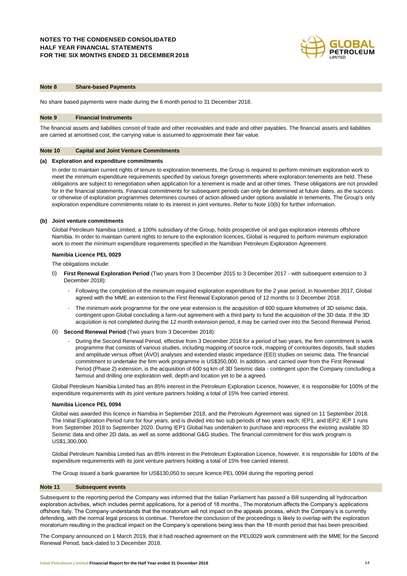

## **Note 8 Share-based Payments**

No share based payments were made during the 6 month period to 31 December 2018.

#### **Note 9 Financial Instruments**

The financial assets and liabilities consist of trade and other receivables and trade and other payables. The financial assets and liabilities are carried at amortised cost, the carrying value is assumed to approximate their fair value.

#### **Note 10 Capital and Joint Venture Commitments**

## **(a) Exploration and expenditure commitments**

In order to maintain current rights of tenure to exploration tenements, the Group is required to perform minimum exploration work to meet the minimum expenditure requirements specified by various foreign governments where exploration tenements are held. These obligations are subject to renegotiation when application for a tenement is made and at other times. These obligations are not provided for in the financial statements. Financial commitments for subsequent periods can only be determined at future dates, as the success or otherwise of exploration programmes determines courses of action allowed under options available in tenements. The Group's only exploration expenditure commitments relate to its interest in joint ventures. Refer to Note 10(b) for further information.

## **(b) Joint venture commitments**

Global Petroleum Namibia Limited, a 100% subsidiary of the Group, holds prospective oil and gas exploration interests offshore Namibia. In order to maintain current rights to tenure to the exploration licences, Global is required to perform minimum exploration work to meet the minimum expenditure requirements specified in the Namibian Petroleum Exploration Agreement.

#### **Namibia Licence PEL 0029**

The obligations include:

- (i) **First Renewal Exploration Period** (Two years from 3 December 2015 to 3 December 2017 with subsequent extension to 3 December 2018):
	- Following the completion of the minimum required exploration expenditure for the 2 year period, in November 2017, Global agreed with the MME an extension to the First Renewal Exploration period of 12 months to 3 December 2018.
	- The minimum work programme for the one year extension is the acquisition of 600 square kilometres of 3D seismic data, contingent upon Global concluding a farm-out agreement with a third party to fund the acquisition of the 3D data. If the 3D acquisition is not completed during the 12 month extension period, it may be carried over into the Second Renewal Period.
- (ii) **Second Renewal Period** (Two years from 3 December 2018):
	- During the Second Renewal Period, effective from 3 December 2018 for a period of two years, the firm commitment is work programme that consists of various studies, including mapping of source rock, mapping of contourites deposits, fault studies and amplitude versus offset (AVO) analyses and extended elastic impedance (EEI) studies on seismic data. The financial commitment to undertake the firm work programme is US\$350,000. In addition, and carried over from the First Renewal Period (Phase 2) extension, is the acquisition of 600 sq km of 3D Seismic data - contingent upon the Company concluding a farmout and drilling one exploration well, depth and location yet to be a agreed.

Global Petroleum Namibia Limited has an 85% interest in the Petroleum Exploration Licence, however, it is responsible for 100% of the expenditure requirements with its joint venture partners holding a total of 15% free carried interest.

#### **Namibia Licence PEL 0094**

Global was awarded this licence in Namibia in September 2018, and the Petroleum Agreement was signed on 11 September 2018. The Initial Exploration Period runs for four years, and is divided into two sub periods of two years each; IEP1, and IEP2. IEP 1 runs from September 2018 to September 2020. During IEP1 Global has undertaken to purchase and reprocess the existing available 3D Seismic data and other 2D data, as well as some additional G&G studies. The financial commitment for this work program is US\$1,300,000.

Global Petroleum Namibia Limited has an 85% interest in the Petroleum Exploration Licence, however, it is responsible for 100% of the expenditure requirements with its joint venture partners holding a total of 15% free carried interest.

The Group issued a bank guarantee for US\$130,050 to secure licence PEL 0094 during the reporting period.

#### **Note 11 Subsequent events**

Subsequent to the reporting period the Company was informed that the Italian Parliament has passed a Bill suspending all hydrocarbon exploration activities, which includes permit applications, for a period of 18 months., The moratorium affects the Company's applications offshore Italy. The Company understands that the moratorium will not impact on the appeals process, which the Company's is currently defending, with the normal legal process to continue. Therefore the conclusion of the proceedings is likely to overlap with the exploration moratorium resulting in the practical impact on the Company's operations being less than the 18-month period that has been prescribed.

The Company announced on 1 March 2019, that it had reached agreement on the PEL0029 work commitment with the MME for the Second Renewal Period, back-dated to 3 December 2018.